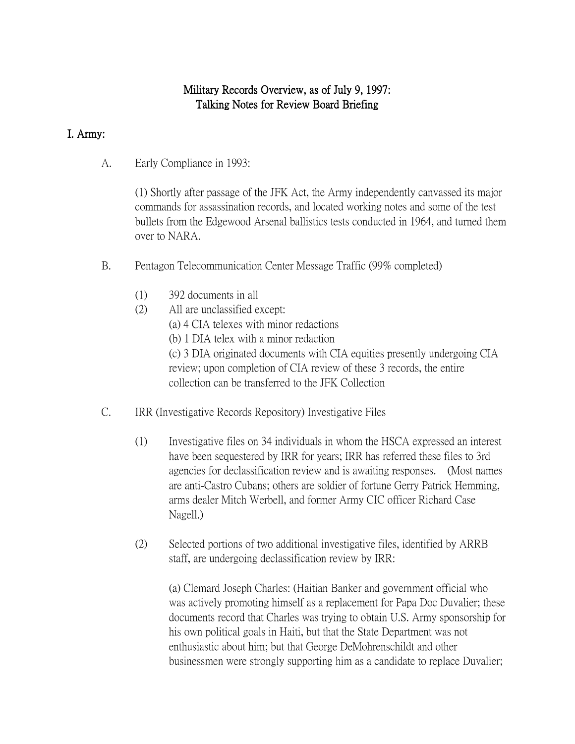# Military Records Overview, as of July 9, 1997: Talking Notes for Review Board Briefing

## I. Army:

A. Early Compliance in 1993:

(1) Shortly after passage of the JFK Act, the Army independently canvassed its major commands for assassination records, and located working notes and some of the test bullets from the Edgewood Arsenal ballistics tests conducted in 1964, and turned them over to NARA.

- B. Pentagon Telecommunication Center Message Traffic (99% completed)
	- (1) 392 documents in all
	- (2) All are unclassified except:
		- (a) 4 CIA telexes with minor redactions
		- (b) 1 DIA telex with a minor redaction

(c) 3 DIA originated documents with CIA equities presently undergoing CIA review; upon completion of CIA review of these 3 records, the entire collection can be transferred to the JFK Collection

- C. IRR (Investigative Records Repository) Investigative Files
	- (1) Investigative files on 34 individuals in whom the HSCA expressed an interest have been sequestered by IRR for years; IRR has referred these files to 3rd agencies for declassification review and is awaiting responses. (Most names are anti-Castro Cubans; others are soldier of fortune Gerry Patrick Hemming, arms dealer Mitch Werbell, and former Army CIC officer Richard Case Nagell.)
	- (2) Selected portions of two additional investigative files, identified by ARRB staff, are undergoing declassification review by IRR:

(a) Clemard Joseph Charles: (Haitian Banker and government official who was actively promoting himself as a replacement for Papa Doc Duvalier; these documents record that Charles was trying to obtain U.S. Army sponsorship for his own political goals in Haiti, but that the State Department was not enthusiastic about him; but that George DeMohrenschildt and other businessmen were strongly supporting him as a candidate to replace Duvalier;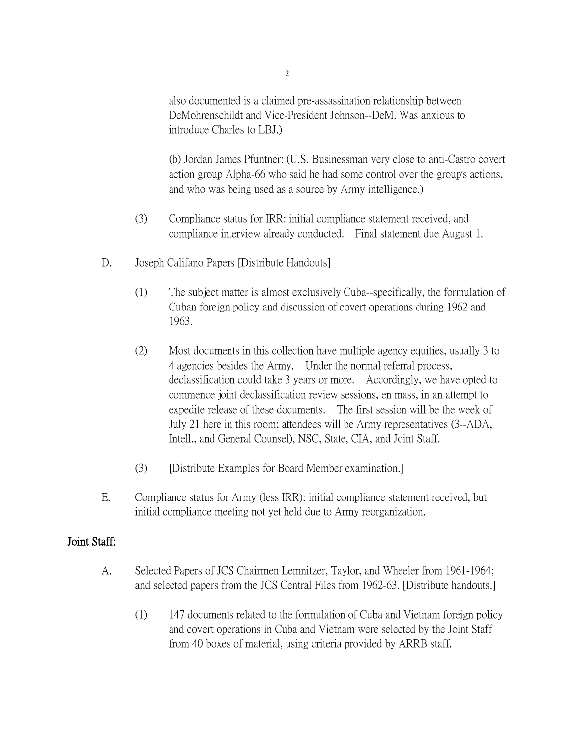also documented is a claimed pre-assassination relationship between DeMohrenschildt and Vice-President Johnson--DeM. Was anxious to introduce Charles to LBJ.)

(b) Jordan James Pfuntner: (U.S. Businessman very close to anti-Castro covert action group Alpha-66 who said he had some control over the group's actions, and who was being used as a source by Army intelligence.)

- (3) Compliance status for IRR: initial compliance statement received, and compliance interview already conducted. Final statement due August 1.
- D. Joseph Califano Papers [Distribute Handouts]
	- (1) The subject matter is almost exclusively Cuba--specifically, the formulation of Cuban foreign policy and discussion of covert operations during 1962 and 1963.
	- (2) Most documents in this collection have multiple agency equities, usually 3 to 4 agencies besides the Army. Under the normal referral process, declassification could take 3 years or more. Accordingly, we have opted to commence joint declassification review sessions, en mass, in an attempt to expedite release of these documents. The first session will be the week of July 21 here in this room; attendees will be Army representatives (3--ADA, Intell., and General Counsel), NSC, State, CIA, and Joint Staff.
	- (3) [Distribute Examples for Board Member examination.]
- E. Compliance status for Army (less IRR): initial compliance statement received, but initial compliance meeting not yet held due to Army reorganization.

### Joint Staff:

- A. Selected Papers of JCS Chairmen Lemnitzer, Taylor, and Wheeler from 1961-1964; and selected papers from the JCS Central Files from 1962-63. [Distribute handouts.]
	- (1) 147 documents related to the formulation of Cuba and Vietnam foreign policy and covert operations in Cuba and Vietnam were selected by the Joint Staff from 40 boxes of material, using criteria provided by ARRB staff.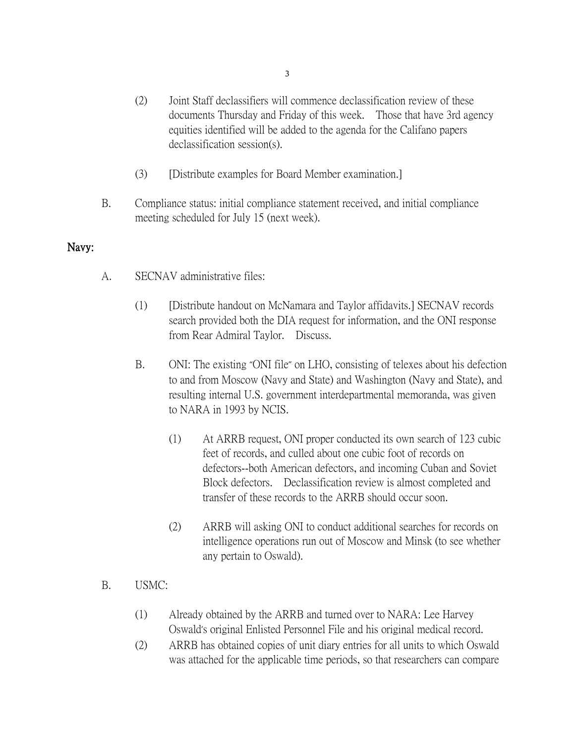- (2) Joint Staff declassifiers will commence declassification review of these documents Thursday and Friday of this week. Those that have 3rd agency equities identified will be added to the agenda for the Califano papers declassification session(s).
- (3) [Distribute examples for Board Member examination.]
- B. Compliance status: initial compliance statement received, and initial compliance meeting scheduled for July 15 (next week).

### Navy:

- A. SECNAV administrative files:
	- (1) [Distribute handout on McNamara and Taylor affidavits.] SECNAV records search provided both the DIA request for information, and the ONI response from Rear Admiral Taylor. Discuss.
	- B. ONI: The existing "ONI file" on LHO, consisting of telexes about his defection to and from Moscow (Navy and State) and Washington (Navy and State), and resulting internal U.S. government interdepartmental memoranda, was given to NARA in 1993 by NCIS.
		- (1) At ARRB request, ONI proper conducted its own search of 123 cubic feet of records, and culled about one cubic foot of records on defectors--both American defectors, and incoming Cuban and Soviet Block defectors. Declassification review is almost completed and transfer of these records to the ARRB should occur soon.
		- (2) ARRB will asking ONI to conduct additional searches for records on intelligence operations run out of Moscow and Minsk (to see whether any pertain to Oswald).
- B. USMC:
	- (1) Already obtained by the ARRB and turned over to NARA: Lee Harvey Oswald's original Enlisted Personnel File and his original medical record.
	- (2) ARRB has obtained copies of unit diary entries for all units to which Oswald was attached for the applicable time periods, so that researchers can compare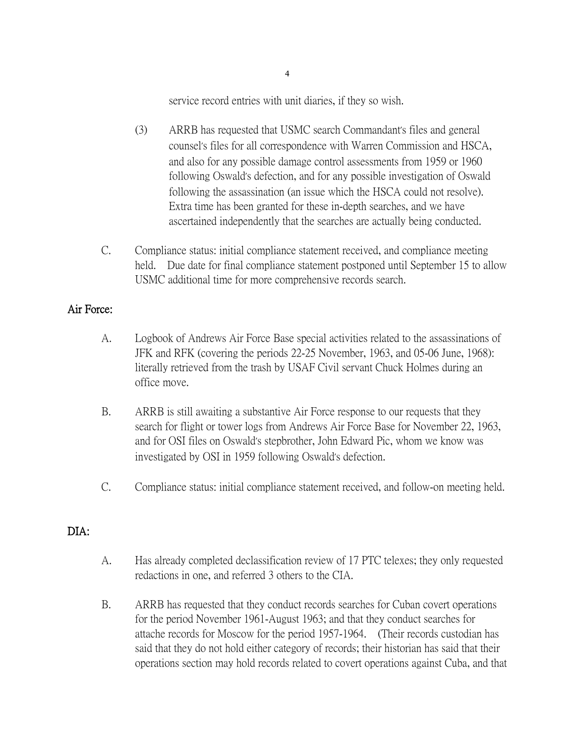service record entries with unit diaries, if they so wish.

- (3) ARRB has requested that USMC search Commandant's files and general counsel's files for all correspondence with Warren Commission and HSCA, and also for any possible damage control assessments from 1959 or 1960 following Oswald's defection, and for any possible investigation of Oswald following the assassination (an issue which the HSCA could not resolve). Extra time has been granted for these in-depth searches, and we have ascertained independently that the searches are actually being conducted.
- C. Compliance status: initial compliance statement received, and compliance meeting held. Due date for final compliance statement postponed until September 15 to allow USMC additional time for more comprehensive records search.

## Air Force:

- A. Logbook of Andrews Air Force Base special activities related to the assassinations of JFK and RFK (covering the periods 22-25 November, 1963, and 05-06 June, 1968): literally retrieved from the trash by USAF Civil servant Chuck Holmes during an office move.
- B. ARRB is still awaiting a substantive Air Force response to our requests that they search for flight or tower logs from Andrews Air Force Base for November 22, 1963, and for OSI files on Oswald's stepbrother, John Edward Pic, whom we know was investigated by OSI in 1959 following Oswald's defection.
- C. Compliance status: initial compliance statement received, and follow-on meeting held.

# DIA:

- A. Has already completed declassification review of 17 PTC telexes; they only requested redactions in one, and referred 3 others to the CIA.
- B. ARRB has requested that they conduct records searches for Cuban covert operations for the period November 1961-August 1963; and that they conduct searches for attache records for Moscow for the period 1957-1964. (Their records custodian has said that they do not hold either category of records; their historian has said that their operations section may hold records related to covert operations against Cuba, and that

4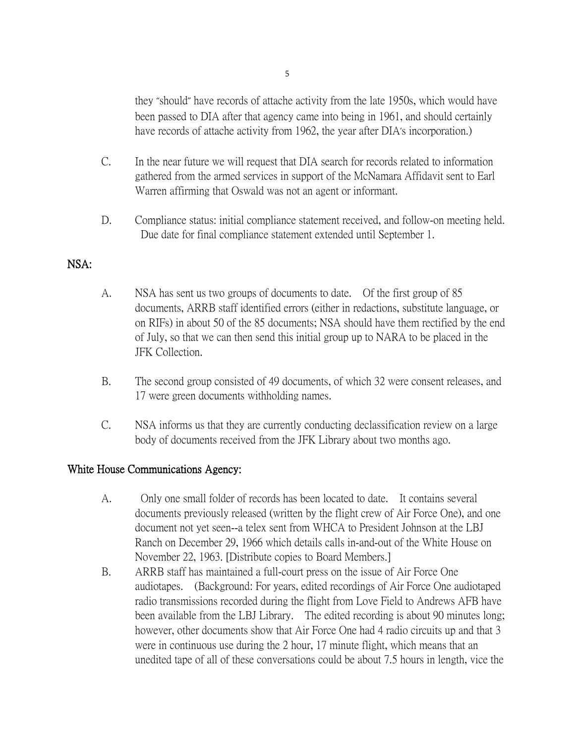they "should" have records of attache activity from the late 1950s, which would have been passed to DIA after that agency came into being in 1961, and should certainly have records of attache activity from 1962, the year after DIA's incorporation.)

- C. In the near future we will request that DIA search for records related to information gathered from the armed services in support of the McNamara Affidavit sent to Earl Warren affirming that Oswald was not an agent or informant.
- D. Compliance status: initial compliance statement received, and follow-on meeting held. Due date for final compliance statement extended until September 1.

## NSA:

- A. NSA has sent us two groups of documents to date. Of the first group of 85 documents, ARRB staff identified errors (either in redactions, substitute language, or on RIFs) in about 50 of the 85 documents; NSA should have them rectified by the end of July, so that we can then send this initial group up to NARA to be placed in the JFK Collection.
- B. The second group consisted of 49 documents, of which 32 were consent releases, and 17 were green documents withholding names.
- C. NSA informs us that they are currently conducting declassification review on a large body of documents received from the JFK Library about two months ago.

### White House Communications Agency:

- A. Only one small folder of records has been located to date. It contains several documents previously released (written by the flight crew of Air Force One), and one document not yet seen--a telex sent from WHCA to President Johnson at the LBJ Ranch on December 29, 1966 which details calls in-and-out of the White House on November 22, 1963. [Distribute copies to Board Members.]
- B. ARRB staff has maintained a full-court press on the issue of Air Force One audiotapes. (Background: For years, edited recordings of Air Force One audiotaped radio transmissions recorded during the flight from Love Field to Andrews AFB have been available from the LBJ Library. The edited recording is about 90 minutes long; however, other documents show that Air Force One had 4 radio circuits up and that 3 were in continuous use during the 2 hour, 17 minute flight, which means that an unedited tape of all of these conversations could be about 7.5 hours in length, vice the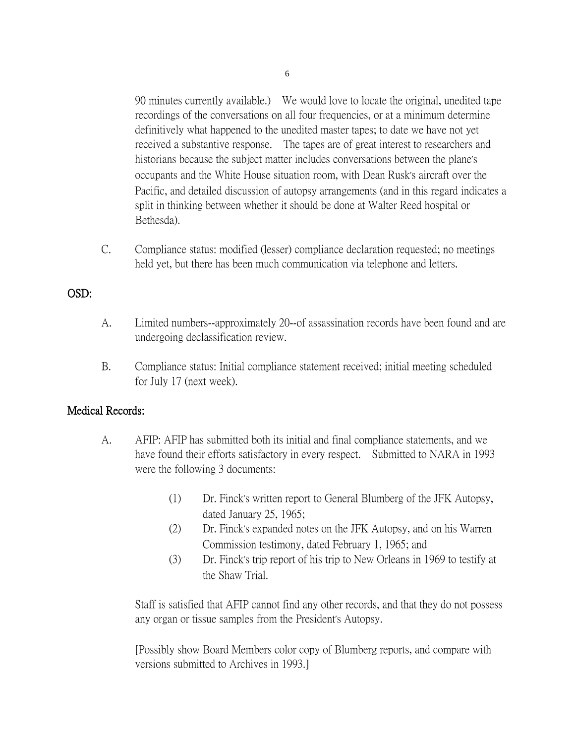90 minutes currently available.) We would love to locate the original, unedited tape recordings of the conversations on all four frequencies, or at a minimum determine definitively what happened to the unedited master tapes; to date we have not yet received a substantive response. The tapes are of great interest to researchers and historians because the subject matter includes conversations between the plane's occupants and the White House situation room, with Dean Rusk's aircraft over the Pacific, and detailed discussion of autopsy arrangements (and in this regard indicates a split in thinking between whether it should be done at Walter Reed hospital or Bethesda).

C. Compliance status: modified (lesser) compliance declaration requested; no meetings held yet, but there has been much communication via telephone and letters.

## OSD:

- A. Limited numbers--approximately 20--of assassination records have been found and are undergoing declassification review.
- B. Compliance status: Initial compliance statement received; initial meeting scheduled for July 17 (next week).

### Medical Records:

- A. AFIP: AFIP has submitted both its initial and final compliance statements, and we have found their efforts satisfactory in every respect. Submitted to NARA in 1993 were the following 3 documents:
	- (1) Dr. Finck's written report to General Blumberg of the JFK Autopsy, dated January 25, 1965;
	- (2) Dr. Finck's expanded notes on the JFK Autopsy, and on his Warren Commission testimony, dated February 1, 1965; and
	- (3) Dr. Finck's trip report of his trip to New Orleans in 1969 to testify at the Shaw Trial.

Staff is satisfied that AFIP cannot find any other records, and that they do not possess any organ or tissue samples from the President's Autopsy.

[Possibly show Board Members color copy of Blumberg reports, and compare with versions submitted to Archives in 1993.]